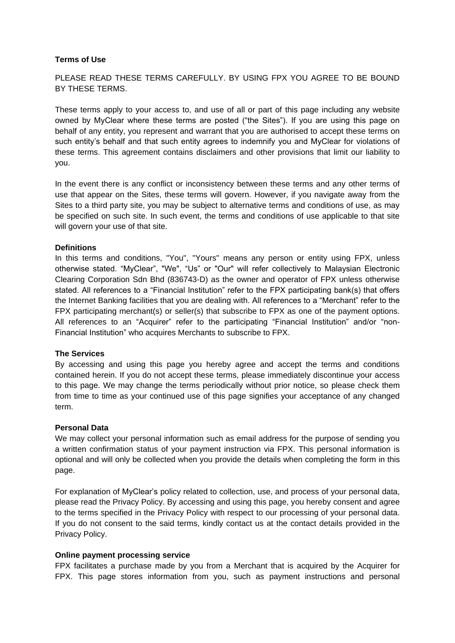### **Terms of Use**

PLEASE READ THESE TERMS CAREFULLY. BY USING FPX YOU AGREE TO BE BOUND BY THESE TERMS.

These terms apply to your access to, and use of all or part of this page including any website owned by MyClear where these terms are posted ("the Sites"). If you are using this page on behalf of any entity, you represent and warrant that you are authorised to accept these terms on such entity's behalf and that such entity agrees to indemnify you and MyClear for violations of these terms. This agreement contains disclaimers and other provisions that limit our liability to you.

In the event there is any conflict or inconsistency between these terms and any other terms of use that appear on the Sites, these terms will govern. However, if you navigate away from the Sites to a third party site, you may be subject to alternative terms and conditions of use, as may be specified on such site. In such event, the terms and conditions of use applicable to that site will govern your use of that site.

# **Definitions**

In this terms and conditions, "You", "Yours" means any person or entity using FPX, unless otherwise stated. "MyClear", "We", "Us" or "Our" will refer collectively to Malaysian Electronic Clearing Corporation Sdn Bhd (836743-D) as the owner and operator of FPX unless otherwise stated. All references to a "Financial Institution" refer to the FPX participating bank(s) that offers the Internet Banking facilities that you are dealing with. All references to a "Merchant" refer to the FPX participating merchant(s) or seller(s) that subscribe to FPX as one of the payment options. All references to an "Acquirer" refer to the participating "Financial Institution" and/or "non-Financial Institution" who acquires Merchants to subscribe to FPX.

### **The Services**

By accessing and using this page you hereby agree and accept the terms and conditions contained herein. If you do not accept these terms, please immediately discontinue your access to this page. We may change the terms periodically without prior notice, so please check them from time to time as your continued use of this page signifies your acceptance of any changed term.

### **Personal Data**

We may collect your personal information such as email address for the purpose of sending you a written confirmation status of your payment instruction via FPX. This personal information is optional and will only be collected when you provide the details when completing the form in this page.

For explanation of MyClear's policy related to collection, use, and process of your personal data, please read the Privacy Policy. By accessing and using this page, you hereby consent and agree to the terms specified in the Privacy Policy with respect to our processing of your personal data. If you do not consent to the said terms, kindly contact us at the contact details provided in the Privacy Policy.

## **Online payment processing service**

FPX facilitates a purchase made by you from a Merchant that is acquired by the Acquirer for FPX. This page stores information from you, such as payment instructions and personal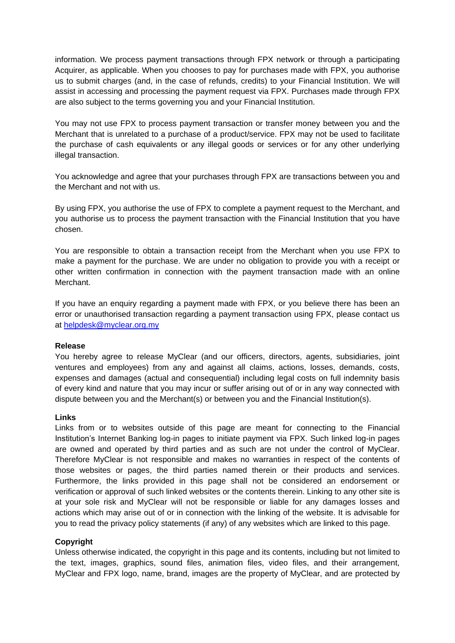information. We process payment transactions through FPX network or through a participating Acquirer, as applicable. When you chooses to pay for purchases made with FPX, you authorise us to submit charges (and, in the case of refunds, credits) to your Financial Institution. We will assist in accessing and processing the payment request via FPX. Purchases made through FPX are also subject to the terms governing you and your Financial Institution.

You may not use FPX to process payment transaction or transfer money between you and the Merchant that is unrelated to a purchase of a product/service. FPX may not be used to facilitate the purchase of cash equivalents or any illegal goods or services or for any other underlying illegal transaction.

You acknowledge and agree that your purchases through FPX are transactions between you and the Merchant and not with us.

By using FPX, you authorise the use of FPX to complete a payment request to the Merchant, and you authorise us to process the payment transaction with the Financial Institution that you have chosen.

You are responsible to obtain a transaction receipt from the Merchant when you use FPX to make a payment for the purchase. We are under no obligation to provide you with a receipt or other written confirmation in connection with the payment transaction made with an online Merchant.

If you have an enquiry regarding a payment made with FPX, or you believe there has been an error or unauthorised transaction regarding a payment transaction using FPX, please contact us at [helpdesk@myclear.org.my](mailto:helpdesk@myclear.org.my)

### **Release**

You hereby agree to release MyClear (and our officers, directors, agents, subsidiaries, joint ventures and employees) from any and against all claims, actions, losses, demands, costs, expenses and damages (actual and consequential) including legal costs on full indemnity basis of every kind and nature that you may incur or suffer arising out of or in any way connected with dispute between you and the Merchant(s) or between you and the Financial Institution(s).

#### **Links**

Links from or to websites outside of this page are meant for connecting to the Financial Institution's Internet Banking log-in pages to initiate payment via FPX. Such linked log-in pages are owned and operated by third parties and as such are not under the control of MyClear. Therefore MyClear is not responsible and makes no warranties in respect of the contents of those websites or pages, the third parties named therein or their products and services. Furthermore, the links provided in this page shall not be considered an endorsement or verification or approval of such linked websites or the contents therein. Linking to any other site is at your sole risk and MyClear will not be responsible or liable for any damages losses and actions which may arise out of or in connection with the linking of the website. It is advisable for you to read the privacy policy statements (if any) of any websites which are linked to this page.

### **Copyright**

Unless otherwise indicated, the copyright in this page and its contents, including but not limited to the text, images, graphics, sound files, animation files, video files, and their arrangement, MyClear and FPX logo, name, brand, images are the property of MyClear, and are protected by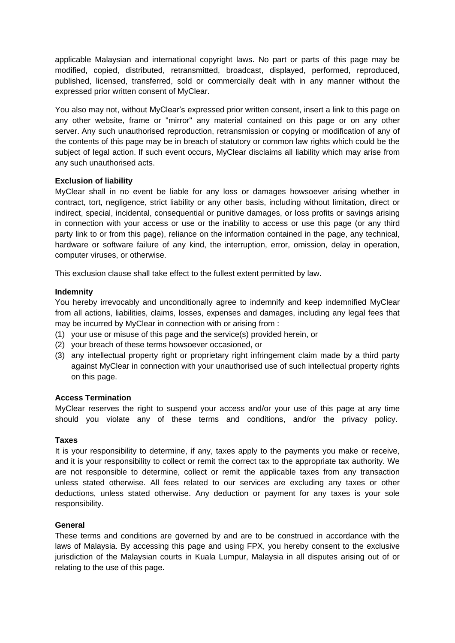applicable Malaysian and international copyright laws. No part or parts of this page may be modified, copied, distributed, retransmitted, broadcast, displayed, performed, reproduced, published, licensed, transferred, sold or commercially dealt with in any manner without the expressed prior written consent of MyClear.

You also may not, without MyClear's expressed prior written consent, insert a link to this page on any other website, frame or "mirror" any material contained on this page or on any other server. Any such unauthorised reproduction, retransmission or copying or modification of any of the contents of this page may be in breach of statutory or common law rights which could be the subject of legal action. If such event occurs, MyClear disclaims all liability which may arise from any such unauthorised acts.

# **Exclusion of liability**

MyClear shall in no event be liable for any loss or damages howsoever arising whether in contract, tort, negligence, strict liability or any other basis, including without limitation, direct or indirect, special, incidental, consequential or punitive damages, or loss profits or savings arising in connection with your access or use or the inability to access or use this page (or any third party link to or from this page), reliance on the information contained in the page, any technical, hardware or software failure of any kind, the interruption, error, omission, delay in operation, computer viruses, or otherwise.

This exclusion clause shall take effect to the fullest extent permitted by law.

# **Indemnity**

You hereby irrevocably and unconditionally agree to indemnify and keep indemnified MyClear from all actions, liabilities, claims, losses, expenses and damages, including any legal fees that may be incurred by MyClear in connection with or arising from :

- (1) your use or misuse of this page and the service(s) provided herein, or
- (2) your breach of these terms howsoever occasioned, or
- (3) any intellectual property right or proprietary right infringement claim made by a third party against MyClear in connection with your unauthorised use of such intellectual property rights on this page.

### **Access Termination**

MyClear reserves the right to suspend your access and/or your use of this page at any time should you violate any of these terms and conditions, and/or the privacy policy.

### **Taxes**

It is your responsibility to determine, if any, taxes apply to the payments you make or receive, and it is your responsibility to collect or remit the correct tax to the appropriate tax authority. We are not responsible to determine, collect or remit the applicable taxes from any transaction unless stated otherwise. All fees related to our services are excluding any taxes or other deductions, unless stated otherwise. Any deduction or payment for any taxes is your sole responsibility.

### **General**

These terms and conditions are governed by and are to be construed in accordance with the laws of Malaysia. By accessing this page and using FPX, you hereby consent to the exclusive jurisdiction of the Malaysian courts in Kuala Lumpur, Malaysia in all disputes arising out of or relating to the use of this page.